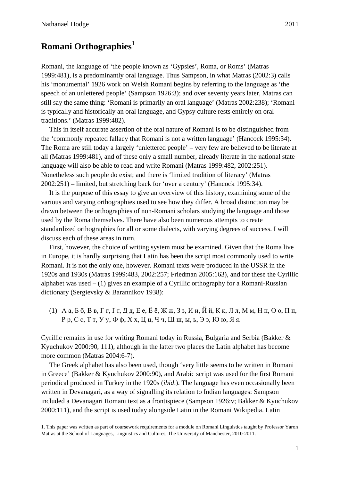## **Romani Orthographies**<sup>1</sup>

Romani, the language of 'the people known as 'Gypsies', Roma, or Roms' (Matras 1999:481), is a predominantly oral language. Thus Sampson, in what Matras (2002:3) calls his 'monumental' 1926 work on Welsh Romani begins by referring to the language as 'the speech of an unlettered people' (Sampson 1926:3); and over seventy years later, Matras can still say the same thing: 'Romani is primarily an oral language' (Matras 2002:238); 'Romani is typically and historically an oral language, and Gypsy culture rests entirely on oral traditions.' (Matras 1999:482).

This in itself accurate assertion of the oral nature of Romani is to be distinguished from the 'commonly repeated fallacy that Romani is not a written language' (Hancock 1995:34). The Roma are still today a largely 'unlettered people' – very few are believed to be literate at all (Matras 1999:481), and of these only a small number, already literate in the national state language will also be able to read and write Romani (Matras 1999:482, 2002:251). Nonetheless such people do exist; and there is 'limited tradition of literacy' (Matras 2002:251) – limited, but stretching back for 'over a century' (Hancock 1995:34).

It is the purpose of this essay to give an overview of this history, examining some of the various and varying orthographies used to see how they differ. A broad distinction may be drawn between the orthographies of non-Romani scholars studying the language and those used by the Roma themselves. There have also been numerous attempts to create standardized orthographies for all or some dialects, with varying degrees of success. I will discuss each of these areas in turn.

First, however, the choice of writing system must be examined. Given that the Roma live in Europe, it is hardly surprising that Latin has been the script most commonly used to write Romani. It is not the only one, however. Romani texts were produced in the USSR in the 1920s and 1930s (Matras 1999:483, 2002:257; Friedman 2005:163), and for these the Cyrillic alphabet was used  $- (1)$  gives an example of a Cyrillic orthography for a Romani-Russian dictionary (Sergievsky & Barannikov 1938):

(1) А а, Б б, В в, Г г, Ґ ґ, Д д, Е е, Ё ё, Ж ж, З з, И и, Й й, К к, Л л, М м, Н н, О о, П п, Р р, С с, Т т, У у, Ф ф, Х х, Ц ц, Ч ч, Ш ш, ы, ь, Э э, Ю ю, Я я.

Cyrillic remains in use for writing Romani today in Russia, Bulgaria and Serbia (Bakker & Kyuchukov 2000:90, 111), although in the latter two places the Latin alphabet has become more common (Matras 2004:6-7).

The Greek alphabet has also been used, though 'very little seems to be written in Romani in Greece' (Bakker & Kyuchukov 2000:90), and Arabic script was used for the first Romani periodical produced in Turkey in the 1920s (*ibid*.). The language has even occasionally been written in Devanagari, as a way of signalling its relation to Indian languages: Sampson included a Devanagari Romani text as a frontispiece (Sampson 1926:v; Bakker & Kyuchukov 2000:111), and the script is used today alongside Latin in the Romani Wikipedia. Latin

1. This paper was written as part of coursework requirements for a module on Romani Linguistics taught by Professor Yaron Matras at the School of Languages, Linguistics and Cultures, The University of Manchester, 2010-2011.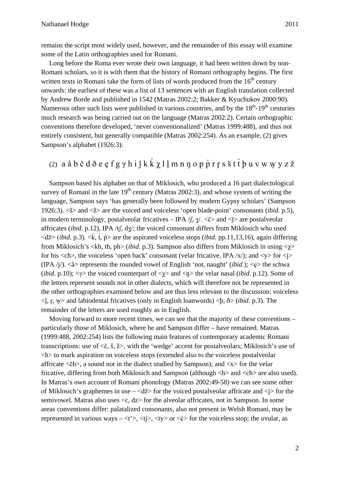remains the script most widely used, however, and the remainder of this essay will examine some of the Latin orthographies used for Romani.

Long before the Roma ever wrote their own language, it had been written down by non-Romani scholars, so it is with them that the history of Romani orthography begins. The first written texts in Romani take the form of lists of words produced from the  $16<sup>th</sup>$  century onwards: the earliest of these was a list of 13 sentences with an English translation collected by Andrew Borde and published in 1542 (Matras 2002:2; Bakker & Kyuchukov 2000:90). Numerous other such lists were published in various countries, and by the  $18<sup>th</sup>$ -19<sup>th</sup> centuries much research was being carried out on the language (Matras 2002:2). Certain orthographic conventions therefore developed, 'never conventionalized' (Matras 1999:488), and thus not entirely consistent, but generally compatible (Matras 2002:254). As an example, (2) gives Sampson's alphabet (1926:3):

## $(2)$  aå b č d ð e ę f g γ h i j k k $\chi$  l  $\,$ l m n ŋ o p p̊ r r̥ s š t t໋ þ u v w w̥ y z ž

Sampson based his alphabet on that of Miklosich, who produced a 16 part dialectological survey of Romani in the late  $19<sup>th</sup>$  century (Matras 2002:3), and whose system of writing the language, Sampson says 'has generally been followed by modern Gypsy scholars' (Sampson 1926:3). <š> and <ž> are the voiced and voiceless 'open blade-point' consonants (*ibid.* p.5), in modern terminology, postalveolar fricatives – IPA  $\beta$ ,  $\frac{1}{3}$ ,  $\langle \xi \rangle$  and  $\langle \xi \rangle$  are postalveolar affricates (*ibid.* p.12), IPA /tʃ, dʒ/; the voiced consonant differs from Miklosich who used <dž> (*ibid*. p.3). <k, t, p<sup>{2}</sup>> are the aspirated voiceless stops (*ibid*. pp.11,13,16), again differing ̔ ̔ from Miklosich's <kh, th, ph> (*ibid*. p.3). Sampson also differs from Miklosich in using <χ> for his  $\langle$ ch $>$ , the voiceless 'open back' consonant (velar fricative, IPA /x/); and  $\langle$ y $>$  for  $\langle$ j $>$ (IPA  $\langle i \rangle$ ). <å> represents the rounded vowel of English 'not, naught' (*ibid.*); <eृ> the schwa (*ibid*. p.10); <γ> the voiced counterpart of <χ> and <ŋ> the velar nasal (*ibid*. p.12). Some of the letters represent sounds not in other dialects, which will therefore not be represented in the other orthographies examined below and are thus less relevant to the discussion: voiceless  $\langle \xi, \xi, \psi \rangle$  and labiodental fricatives (only in English loanwords)  $\langle \phi, \delta \rangle$  (*ibid.* p.3). The remainder of the letters are used roughly as in English.

Moving forward to more recent times, we can see that the majority of these conventions – particularly those of Miklosich, where he and Sampson differ – have remained. Matras (1999:488, 2002:254) lists the following main features of contemporary academic Romani transcriptions: use of <č, š, ž>, with the 'wedge' accent for postalveolars; Miklosich's use of <h> to mark aspiration on voiceless stops (extended also to the voiceless postalveolar affricate  $\langle \check{c}h \rangle$ , a sound not in the dialect studied by Sampson); and  $\langle x \rangle$  for the velar fricative, differing from both Miklosich and Sampson (although  $\langle h \rangle$  and  $\langle ch \rangle$  are also used). In Matras's own account of Romani phonology (Matras 2002:49-58) we can see some other of Miklosich's graphemes in use  $-\langle d \tilde{z} \rangle$  for the voiced postalveolar affricate and  $\langle i \rangle$  for the semivowel. Matras also uses  $\langle c, dz \rangle$  for the alveolar affricates, not in Sampson. In some areas conventions differ: palatalized consonants, also not present in Welsh Romani, may be represented in various ways  $-\langle t \rangle$ ,  $\langle t \rangle$ ,  $\langle t \rangle$  or  $\langle t \rangle$  for the voiceless stop; the uvular, as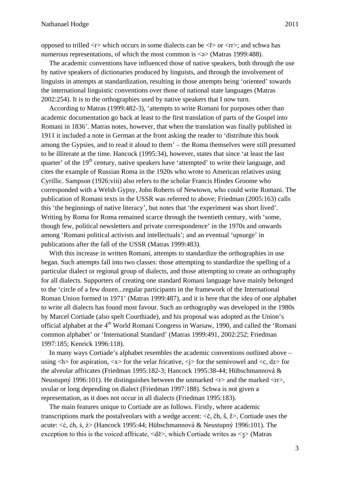opposed to trilled  $\langle r \rangle$  which occurs in some dialects can be  $\langle r \rangle$  or  $\langle rr \rangle$ ; and schwa has numerous representations, of which the most common is  $\langle \varphi \rangle$  (Matras 1999:488).

The academic conventions have influenced those of native speakers, both through the use by native speakers of dictionaries produced by linguists, and through the involvement of linguists in attempts at standardization, resulting in those attempts being 'oriented' towards the international linguistic conventions over those of national state languages (Matras 2002:254). It is to the orthographies used by native speakers that I now turn.

According to Matras (1999:482-3), 'attempts to write Romani for purposes other than academic documentation go back at least to the first translation of parts of the Gospel into Romani in 1836'. Matras notes, however, that when the translation was finally published in 1911 it included a note in German at the front asking the reader to 'distribute this book among the Gypsies, and to read it aloud to them' – the Roma themselves were still presumed to be illiterate at the time. Hancock (1995:34), however, states that since 'at least the last quarter' of the  $19<sup>th</sup>$  century, native speakers have 'attempted' to write their language, and cites the example of Russian Roma in the 1920s who wrote to American relatives using Cyrillic. Sampson (1926:viii) also refers to the scholar Francis Hindes Groome who corresponded with a Welsh Gypsy, John Roberts of Newtown, who could write Romani. The publication of Romani texts in the USSR was referred to above; Friedman (2005:163) calls this 'the beginnings of native literacy', but notes that 'the experiment was short lived'. Writing by Roma for Roma remained scarce through the twentieth century, with 'some, though few, political newsletters and private correspondence' in the 1970s and onwards among 'Romani political activists and intellectuals'; and an eventual 'upsurge' in publications after the fall of the USSR (Matras 1999:483).

With this increase in written Romani, attempts to standardize the orthographies in use began. Such attempts fall into two classes: those attempting to standardize the spelling of a particular dialect or regional group of dialects, and those attempting to create an orthography for all dialects. Supporters of creating one standard Romani language have mainly belonged to the 'circle of a few dozen...regular participants in the framework of the International Roman Union formed in 1971' (Matras 1999:487), and it is here that the idea of one alphabet to write all dialects has found most favour. Such an orthography was developed in the 1980s by Marcel Cortiade (also spelt Courthiade), and his proposal was adopted as the Union's official alphabet at the 4<sup>th</sup> World Romani Congress in Warsaw, 1990, and called the 'Romani common alphabet' or 'International Standard' (Matras 1999:491, 2002:252; Friedman 1997:185; Kenrick 1996:118).

In many ways Cortiade's alphabet resembles the academic conventions outlined above – using  $\langle h \rangle$  for aspiration,  $\langle x \rangle$  for the velar fricative,  $\langle i \rangle$  for the semivowel and  $\langle c, dz \rangle$  for the alveolar affricates (Friedman 1995:182-3; Hancock 1995:38-44; Hübschmannová & Neustupný 1996:101). He distinguishes between the unmarked  $\langle r \rangle$  and the marked  $\langle rr \rangle$ . uvular or long depending on dialect (Friedman 1997:188). Schwa is not given a representation, as it does not occur in all dialects (Friedman 1995:183).

The main features unique to Cortiade are as follows. Firstly, where academic transcriptions mark the postalveolars with a wedge accent:  $\leq \xi$ ,  $\zeta$ h,  $\zeta$ ,  $\zeta$  $>$ , Cortiade uses the acute: <ć, ćh, ś, ź> (Hancock 1995:44; Hübschmannová & Neustupný 1996:101). The exception to this is the voiced affricate, <dž>, which Cortiade writes as <ʒ> (Matras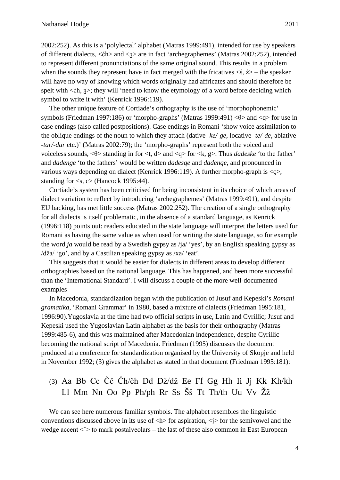2002:252). As this is a 'polylectal' alphabet (Matras 1999:491), intended for use by speakers of different dialects, <ćh> and <ʒ> are in fact 'archegraphemes' (Matras 2002:252), intended to represent different pronunciations of the same original sound. This results in a problem when the sounds they represent have in fact merged with the fricatives  $\langle \dot{s}, \dot{z} \rangle$  – the speaker will have no way of knowing which words originally had affricates and should therefore be spelt with  $\leq$ ch,  $\leq$ ; they will 'need to know the etymology of a word before deciding which symbol to write it with' (Kenrick 1996:119).

The other unique feature of Cortiade's orthography is the use of 'morphophonemic' symbols (Friedman 1997:186) or 'morpho-graphs' (Matras 1999:491) <θ> and <q> for use in case endings (also called postpositions). Case endings in Romani 'show voice assimilation to the oblique endings of the noun to which they attach (dative *-ke/-ge*, locative -*te/-de*, ablative -*tar/-dar* etc.)' (Matras 2002:79); the 'morpho-graphs' represent both the voiced and voiceless sounds, <θ> standing in for <t, d> and <q> for <k, g>. Thus *dadeske* 'to the father' and *dadenge* 'to the fathers' would be written *dadesqe* and *dadenqe*, and pronounced in various ways depending on dialect (Kenrick 1996:119). A further morpho-graph is <ç>, standing for  $\langle s, c \rangle$  (Hancock 1995:44).

Cortiade's system has been criticised for being inconsistent in its choice of which areas of dialect variation to reflect by introducing 'archegraphemes' (Matras 1999:491), and despite EU backing, has met little success (Matras 2002:252). The creation of a single orthography for all dialects is itself problematic, in the absence of a standard language, as Kenrick (1996:118) points out: readers educated in the state language will interpret the letters used for Romani as having the same value as when used for writing the state language, so for example the word *ja* would be read by a Swedish gypsy as /ja/ 'yes', by an English speaking gypsy as /dža/ 'go', and by a Castilian speaking gypsy as /xa/ 'eat'.

This suggests that it would be easier for dialects in different areas to develop different orthographies based on the national language. This has happened, and been more successful than the 'International Standard'. I will discuss a couple of the more well-documented examples

In Macedonia, standardization began with the publication of Jusuf and Kepeski's *Romani gramatika*, 'Romani Grammar' in 1980, based a mixture of dialects (Friedman 1995:181, 1996:90).Yugoslavia at the time had two official scripts in use, Latin and Cyrillic; Jusuf and Kepeski used the Yugoslavian Latin alphabet as the basis for their orthography (Matras 1999:485-6), and this was maintained after Macedonian independence, despite Cyrillic becoming the national script of Macedonia. Friedman (1995) discusses the document produced at a conference for standardization organised by the University of Skopje and held in November 1992; (3) gives the alphabet as stated in that document (Friedman 1995:181):

## (3) Aa Bb Cc Čč Čh/čh Dd Dž/dž Ee Ff Gg Hh Ii Jj Kk Kh/kh Ll Mm Nn Oo Pp Ph/ph Rr Ss Šš Tt Th/th Uu Vv Žž

We can see here numerous familiar symbols. The alphabet resembles the linguistic conventions discussed above in its use of  $\langle h \rangle$  for aspiration,  $\langle i \rangle$  for the semivowel and the wedge accent  $\le$  > to mark postalveolars – the last of these also common in East European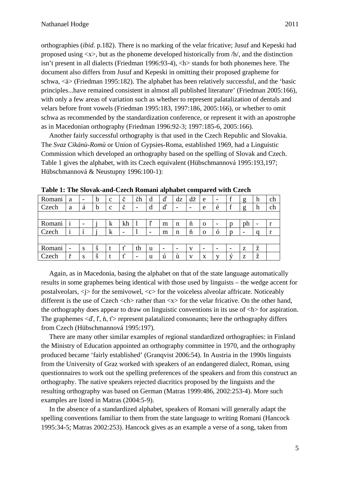orthographies (*ibid*. p.182). There is no marking of the velar fricative; Jusuf and Kepeski had proposed using  $\langle x \rangle$ , but as the phoneme developed historically from  $/h/$ , and the distinction isn't present in all dialects (Friedman 1996:93-4), <h> stands for both phonemes here. The document also differs from Jusuf and Kepeski in omitting their proposed grapheme for schwa, <ä> (Friedman 1995:182). The alphabet has been relatively successful, and the 'basic principles...have remained consistent in almost all published literature' (Friedman 2005:166), with only a few areas of variation such as whether to represent palatalization of dentals and velars before front vowels (Friedman 1995:183, 1997:186, 2005:166), or whether to omit schwa as recommended by the standardization conference, or represent it with an apostrophe as in Macedonian orthography (Friedman 1996:92-3; 1997:185-6, 2005:166).

Another fairly successful orthography is that used in the Czech Republic and Slovakia. The *Svaz Cikánù-Romù* or Union of Gypsies-Roma, established 1969, had a Linguistic Commission which developed an orthography based on the spelling of Slovak and Czech. Table 1 gives the alphabet, with its Czech equivalent (Hübschmannová 1995:193,197; Hübschmannová & Neustupny 1996:100-1):

|        |                          |                          |   |              |        |                          |                          | -                        |                          |                          | -                        |                          |                          |                          |                          |    |
|--------|--------------------------|--------------------------|---|--------------|--------|--------------------------|--------------------------|--------------------------|--------------------------|--------------------------|--------------------------|--------------------------|--------------------------|--------------------------|--------------------------|----|
| Romani | a                        | $\overline{\phantom{a}}$ | b | $\mathbf{C}$ | č      | čh                       | d                        | ď                        | dz                       | dž                       | e                        | -                        |                          | g                        | h                        | ch |
| Czech  | a                        | á                        | b | $\mathbf{C}$ | č      | $\overline{\phantom{a}}$ | d                        | ď                        | $\overline{\phantom{0}}$ | $\overline{\phantom{0}}$ | e                        | é                        |                          | g                        | h                        | ch |
|        |                          |                          |   |              |        |                          |                          |                          |                          |                          |                          |                          |                          |                          |                          |    |
| Romani |                          | $\overline{\phantom{a}}$ |   | $\bf k$      | kh     |                          | ľ                        | m                        | n                        | ň                        | $\Omega$                 | $\overline{\phantom{a}}$ | n                        | ph                       | $\overline{\phantom{0}}$ |    |
| Czech  |                          |                          |   | k            | -      |                          | $\overline{\phantom{0}}$ | m                        | n                        | ň                        | $\Omega$                 | ó                        | n                        | $\overline{\phantom{0}}$ |                          |    |
|        |                          |                          |   |              |        |                          |                          |                          |                          |                          |                          |                          |                          |                          |                          |    |
| Romani | $\overline{\phantom{0}}$ | S                        | š | t            | ť      | th                       | u                        | $\overline{\phantom{0}}$ | $\overline{\phantom{0}}$ | V                        | $\overline{\phantom{0}}$ | $\overline{\phantom{0}}$ | $\overline{\phantom{a}}$ | Z                        | ž                        |    |
| Czech  | ¥                        | S                        | š |              | ť<br>L | $\overline{\phantom{0}}$ | u                        | ú                        | ú                        | $\mathbf{V}$             | X                        | v                        | ΧĪ                       | Z                        | ž                        |    |

**Table 1: The Slovak-and-Czech Romani alphabet compared with Czech**

Again, as in Macedonia, basing the alphabet on that of the state language automatically results in some graphemes being identical with those used by linguists – the wedge accent for postalveolars,  $\langle i \rangle$  for the semivowel,  $\langle c \rangle$  for the voiceless alveolar affricate. Noticeably different is the use of Czech <ch> rather than <x> for the velar fricative. On the other hand, the orthography does appear to draw on linguistic conventions in its use of  $\langle h \rangle$  for aspiration. The graphemes  $\langle d \rangle$ ,  $\hat{I}$ ,  $\hat{n}$ ,  $\hat{t}$  > represent palatalized consonants; here the orthography differs from Czech (Hübschmannová 1995:197).

There are many other similar examples of regional standardized orthographies: in Finland the Ministry of Education appointed an orthography committee in 1970, and the orthography produced became 'fairly established' (Granqvist 2006:54). In Austria in the 1990s linguists from the University of Graz worked with speakers of an endangered dialect, Roman, using questionnaires to work out the spelling preferences of the speakers and from this construct an orthography. The native speakers rejected diacritics proposed by the linguists and the resulting orthography was based on German (Matras 1999:486, 2002:253-4). More such examples are listed in Matras (2004:5-9).

In the absence of a standardized alphabet, speakers of Romani will generally adapt the spelling conventions familiar to them from the state language to writing Romani (Hancock 1995:34-5; Matras 2002:253). Hancock gives as an example a verse of a song, taken from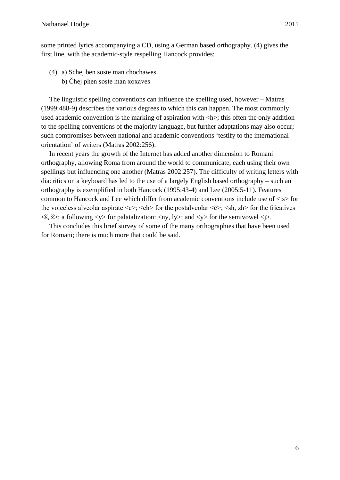some printed lyrics accompanying a CD, using a German based orthography. (4) gives the first line, with the academic-style respelling Hancock provides:

- (4) a) Schej ben soste man chochawes
	- b) Čhej phen soste man xoxaves

The linguistic spelling conventions can influence the spelling used, however – Matras (1999:488-9) describes the various degrees to which this can happen. The most commonly used academic convention is the marking of aspiration with  $\langle h \rangle$ ; this often the only addition to the spelling conventions of the majority language, but further adaptations may also occur; such compromises between national and academic conventions 'testify to the international orientation' of writers (Matras 2002:256).

In recent years the growth of the Internet has added another dimension to Romani orthography, allowing Roma from around the world to communicate, each using their own spellings but influencing one another (Matras 2002:257). The difficulty of writing letters with diacritics on a keyboard has led to the use of a largely English based orthography – such an orthography is exemplified in both Hancock (1995:43-4) and Lee (2005:5-11). Features common to Hancock and Lee which differ from academic conventions include use of <ts> for the voiceless alveolar aspirate  $\langle c \rangle$ ;  $\langle ch \rangle$  for the postalveolar  $\langle c \rangle$ ;  $\langle sh, zh \rangle$  for the fricatives  $\langle \xi, \xi \rangle$ ; a following  $\langle \psi \rangle$  for palatalization:  $\langle \eta \psi, \psi \rangle$ ; and  $\langle \psi \rangle$  for the semivowel  $\langle \psi \rangle$ .

This concludes this brief survey of some of the many orthographies that have been used for Romani; there is much more that could be said.